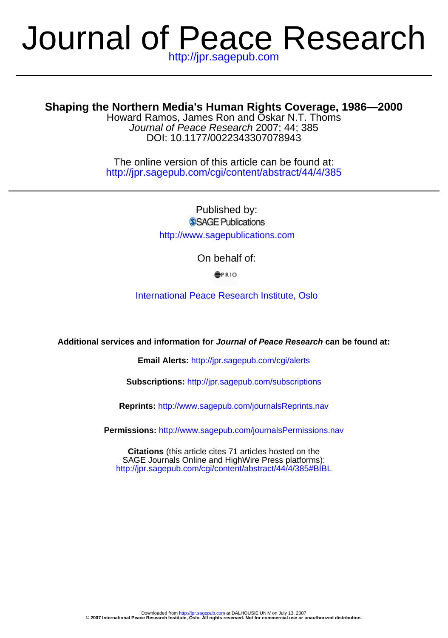# http://jpr.sagepub.com Journal of Peace Research

# **Shaping the Northern Media's Human Rights Coverage, 1986—2000**

DOI: 10.1177/0022343307078943 Journal of Peace Research 2007; 44; 385 Howard Ramos, James Ron and Oskar N.T. Thoms

http://jpr.sagepub.com/cgi/content/abstract/44/4/385 The online version of this article can be found at:

> Published by: SSAGE Publications http://www.sagepublications.com

> > On behalf of:

**SPRIO** 

[International Peace Research Institute, Oslo](http://www.prio.no/)

**Additional services and information for Journal of Peace Research can be found at:**

**Email Alerts:** <http://jpr.sagepub.com/cgi/alerts>

**Subscriptions:** <http://jpr.sagepub.com/subscriptions>

**Reprints:** <http://www.sagepub.com/journalsReprints.nav>

**Permissions:** <http://www.sagepub.com/journalsPermissions.nav>

<http://jpr.sagepub.com/cgi/content/abstract/44/4/385#BIBL> SAGE Journals Online and HighWire Press platforms): **Citations** (this article cites 71 articles hosted on the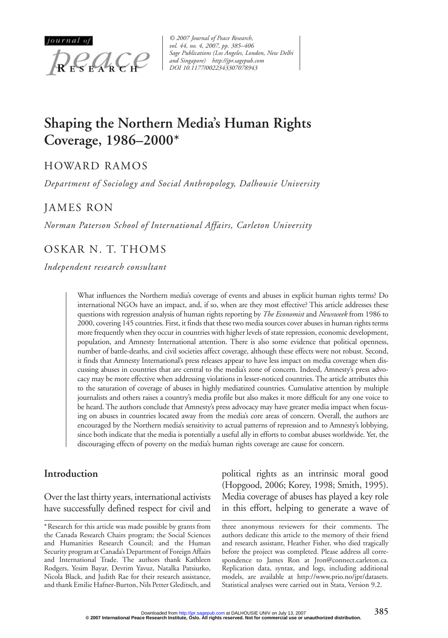

*© 2007 Journal of Peace Research, vol. 44, no. 4, 2007, pp. 385–406 Sage Publications (Los Angeles, London, New Delhi and Singapore) http://jpr.sagepub.com DOI 10.1177/0022343307078943*

# **Shaping the Northern Media's Human Rights Coverage, 1986–2000\***

# HOWARD RAMOS

*Department of Sociology and Social Anthropology, Dalhousie University*

# JAMES RON

*Norman Paterson School of International Affairs, Carleton University*

# OSKAR N. T. THOMS

*Independent research consultant*

What influences the Northern media's coverage of events and abuses in explicit human rights terms? Do international NGOs have an impact, and, if so, when are they most effective? This article addresses these questions with regression analysis of human rights reporting by *The Economist* and *Newsweek* from 1986 to 2000, covering 145 countries. First, it finds that these two media sources cover abuses in human rights terms more frequently when they occur in countries with higher levels of state repression, economic development, population, and Amnesty International attention. There is also some evidence that political openness, number of battle-deaths, and civil societies affect coverage, although these effects were not robust. Second, it finds that Amnesty International's press releases appear to have less impact on media coverage when discussing abuses in countries that are central to the media's zone of concern. Indeed, Amnesty's press advocacy may be more effective when addressing violations in lesser-noticed countries. The article attributes this to the saturation of coverage of abuses in highly mediatized countries. Cumulative attention by multiple journalists and others raises a country's media profile but also makes it more difficult for any one voice to be heard. The authors conclude that Amnesty's press advocacy may have greater media impact when focusing on abuses in countries located away from the media's core areas of concern. Overall, the authors are encouraged by the Northern media's sensitivity to actual patterns of repression and to Amnesty's lobbying, since both indicate that the media is potentially a useful ally in efforts to combat abuses worldwide. Yet, the discouraging effects of poverty on the media's human rights coverage are cause for concern.

#### **Introduction**

Over the last thirty years, international activists have successfully defined respect for civil and

\*Research for this article was made possible by grants from the Canada Research Chairs program; the Social Sciences and Humanities Research Council; and the Human Security program at Canada's Department of Foreign Affairs and International Trade. The authors thank Kathleen Rodgers, Yesim Bayar, Devrim Yavuz, Natalka Patsiurko, Nicola Black, and Judith Rae for their research assistance, and thank Emilie Hafner-Burton, Nils Petter Gleditsch, and

political rights as an intrinsic moral good (Hopgood, 2006; Korey, 1998; Smith, 1995). Media coverage of abuses has played a key role in this effort, helping to generate a wave of

three anonymous reviewers for their comments. The authors dedicate this article to the memory of their friend and research assistant, Heather Fisher, who died tragically before the project was completed. Please address all correspondence to James Ron at Jron@connect.carleton.ca. Replication data, syntax, and logs, including additional models, are available at http://www.prio.no/jpr/datasets. Statistical analyses were carried out in Stata, Version 9.2.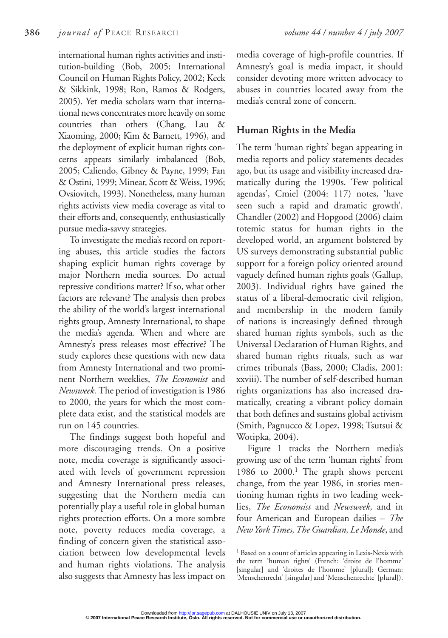international human rights activities and institution-building (Bob, 2005; International Council on Human Rights Policy, 2002; Keck & Sikkink, 1998; Ron, Ramos & Rodgers, 2005). Yet media scholars warn that international news concentrates more heavily on some countries than others (Chang, Lau & Xiaoming, 2000; Kim & Barnett, 1996), and the deployment of explicit human rights concerns appears similarly imbalanced (Bob, 2005; Caliendo, Gibney & Payne, 1999; Fan & Ostini, 1999; Minear, Scott & Weiss, 1996; Ovsiovitch, 1993). Nonetheless, many human rights activists view media coverage as vital to their efforts and, consequently, enthusiastically pursue media-savvy strategies.

To investigate the media's record on reporting abuses, this article studies the factors shaping explicit human rights coverage by major Northern media sources. Do actual repressive conditions matter? If so, what other factors are relevant? The analysis then probes the ability of the world's largest international rights group, Amnesty International, to shape the media's agenda. When and where are Amnesty's press releases most effective? The study explores these questions with new data from Amnesty International and two prominent Northern weeklies, *The Economist* and *Newsweek.* The period of investigation is 1986 to 2000, the years for which the most complete data exist, and the statistical models are run on 145 countries.

The findings suggest both hopeful and more discouraging trends. On a positive note, media coverage is significantly associated with levels of government repression and Amnesty International press releases, suggesting that the Northern media can potentially play a useful role in global human rights protection efforts. On a more sombre note, poverty reduces media coverage, a finding of concern given the statistical association between low developmental levels and human rights violations. The analysis also suggests that Amnesty has less impact on

media coverage of high-profile countries. If Amnesty's goal is media impact, it should consider devoting more written advocacy to abuses in countries located away from the media's central zone of concern.

## **Human Rights in the Media**

The term 'human rights' began appearing in media reports and policy statements decades ago, but its usage and visibility increased dramatically during the 1990s. 'Few political agendas', Cmiel (2004: 117) notes, 'have seen such a rapid and dramatic growth'. Chandler (2002) and Hopgood (2006) claim totemic status for human rights in the developed world, an argument bolstered by US surveys demonstrating substantial public support for a foreign policy oriented around vaguely defined human rights goals (Gallup, 2003). Individual rights have gained the status of a liberal-democratic civil religion, and membership in the modern family of nations is increasingly defined through shared human rights symbols, such as the Universal Declaration of Human Rights, and shared human rights rituals, such as war crimes tribunals (Bass, 2000; Cladis, 2001: xxviii). The number of self-described human rights organizations has also increased dramatically, creating a vibrant policy domain that both defines and sustains global activism (Smith, Pagnucco & Lopez, 1998; Tsutsui & Wotipka, 2004).

Figure 1 tracks the Northern media's growing use of the term 'human rights' from 1986 to 2000.<sup>1</sup> The graph shows percent change, from the year 1986, in stories mentioning human rights in two leading weeklies, *The Economist* and *Newsweek,* and in four American and European dailies – *The New York Times, The Guardian, Le Monde*, and

<sup>1</sup> Based on a count of articles appearing in Lexis-Nexis with the term 'human rights' (French: 'droite de l'homme' [singular] and 'droites de l'homme' [plural]; German: 'Menschenrecht' [singular] and 'Menschenrechte' [plural]).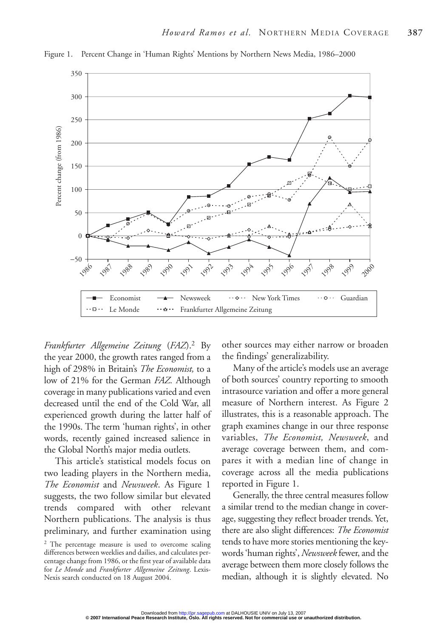

Figure 1. Percent Change in 'Human Rights' Mentions by Northern News Media, 1986–2000

*Frankfurter Allgemeine Zeitung* (*FAZ*).2 By the year 2000, the growth rates ranged from a high of 298% in Britain's *The Economist,* to a low of 21% for the German *FAZ.* Although coverage in many publications varied and even decreased until the end of the Cold War, all experienced growth during the latter half of the 1990s. The term 'human rights', in other words, recently gained increased salience in the Global North's major media outlets.

This article's statistical models focus on two leading players in the Northern media, *The Economist* and *Newsweek*. As Figure 1 suggests, the two follow similar but elevated trends compared with other relevant Northern publications. The analysis is thus preliminary, and further examination using

other sources may either narrow or broaden the findings' generalizability.

Many of the article's models use an average of both sources' country reporting to smooth intrasource variation and offer a more general measure of Northern interest. As Figure 2 illustrates, this is a reasonable approach. The graph examines change in our three response variables, *The Economist, Newsweek*, and average coverage between them, and compares it with a median line of change in coverage across all the media publications reported in Figure 1.

Generally, the three central measures follow a similar trend to the median change in coverage, suggesting they reflect broader trends. Yet, there are also slight differences: *The Economist* tends to have more stories mentioning the keywords 'human rights', *Newsweek* fewer, and the average between them more closely follows the median, although it is slightly elevated. No

<sup>2</sup> The percentage measure is used to overcome scaling differences between weeklies and dailies, and calculates percentage change from 1986, or the first year of available data for *Le Monde* and *Frankfurter Allgemeine Zeitung*. Lexis-Nexis search conducted on 18 August 2004.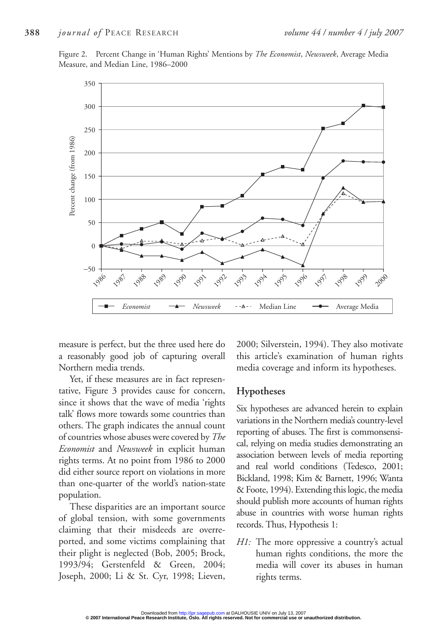Figure 2. Percent Change in 'Human Rights' Mentions by *The Economist*, *Newsweek*, Average Media Measure, and Median Line, 1986–2000



measure is perfect, but the three used here do a reasonably good job of capturing overall Northern media trends.

Yet, if these measures are in fact representative, Figure 3 provides cause for concern, since it shows that the wave of media 'rights talk' flows more towards some countries than others. The graph indicates the annual count of countries whose abuses were covered by *The Economist* and *Newsweek* in explicit human rights terms. At no point from 1986 to 2000 did either source report on violations in more than one-quarter of the world's nation-state population.

These disparities are an important source of global tension, with some governments claiming that their misdeeds are overreported, and some victims complaining that their plight is neglected (Bob, 2005; Brock, 1993/94; Gerstenfeld & Green, 2004; Joseph, 2000; Li & St. Cyr, 1998; Lieven,

2000; Silverstein, 1994). They also motivate this article's examination of human rights media coverage and inform its hypotheses.

#### **Hypotheses**

Six hypotheses are advanced herein to explain variations in the Northern media's country-level reporting of abuses. The first is commonsensical, relying on media studies demonstrating an association between levels of media reporting and real world conditions (Tedesco, 2001; Bickland, 1998; Kim & Barnett, 1996; Wanta & Foote, 1994). Extending this logic, the media should publish more accounts of human rights abuse in countries with worse human rights records. Thus, Hypothesis 1:

*H1:* The more oppressive a country's actual human rights conditions, the more the media will cover its abuses in human rights terms.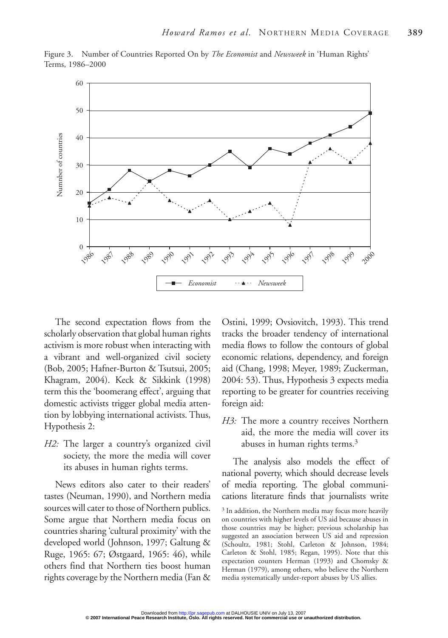

Figure 3. Number of Countries Reported On by *The Economist* and *Newsweek* in 'Human Rights' Terms, 1986–2000

The second expectation flows from the scholarly observation that global human rights activism is more robust when interacting with a vibrant and well-organized civil society (Bob, 2005; Hafner-Burton & Tsutsui, 2005; Khagram, 2004). Keck & Sikkink (1998) term this the 'boomerang effect', arguing that domestic activists trigger global media attention by lobbying international activists. Thus, Hypothesis 2:

*H2:* The larger a country's organized civil society, the more the media will cover its abuses in human rights terms.

News editors also cater to their readers' tastes (Neuman, 1990), and Northern media sources will cater to those of Northern publics. Some argue that Northern media focus on countries sharing 'cultural proximity' with the developed world (Johnson, 1997; Galtung & Ruge, 1965: 67; Østgaard, 1965: 46), while others find that Northern ties boost human rights coverage by the Northern media (Fan & Ostini, 1999; Ovsiovitch, 1993). This trend tracks the broader tendency of international media flows to follow the contours of global economic relations, dependency, and foreign aid (Chang, 1998; Meyer, 1989; Zuckerman, 2004: 53). Thus, Hypothesis 3 expects media reporting to be greater for countries receiving foreign aid:

*H3:* The more a country receives Northern aid, the more the media will cover its abuses in human rights terms.<sup>3</sup>

The analysis also models the effect of national poverty, which should decrease levels of media reporting. The global communications literature finds that journalists write

<sup>3</sup> In addition, the Northern media may focus more heavily on countries with higher levels of US aid because abuses in those countries may be higher; previous scholarship has suggested an association between US aid and repression (Schoultz, 1981; Stohl, Carleton & Johnson, 1984; Carleton & Stohl, 1985; Regan, 1995). Note that this expectation counters Herman (1993) and Chomsky & Herman (1979), among others, who believe the Northern media systematically under-report abuses by US allies.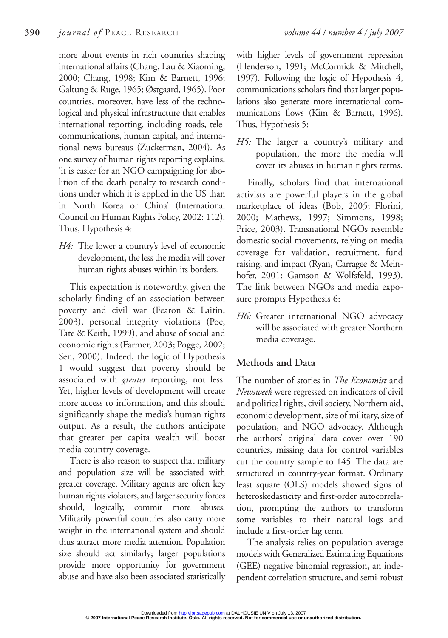more about events in rich countries shaping international affairs (Chang, Lau & Xiaoming, 2000; Chang, 1998; Kim & Barnett, 1996; Galtung & Ruge, 1965; Østgaard, 1965). Poor countries, moreover, have less of the technological and physical infrastructure that enables international reporting, including roads, telecommunications, human capital, and international news bureaus (Zuckerman, 2004). As one survey of human rights reporting explains, 'it is easier for an NGO campaigning for abolition of the death penalty to research conditions under which it is applied in the US than in North Korea or China' (International Council on Human Rights Policy, 2002: 112). Thus, Hypothesis 4:

*H4:* The lower a country's level of economic development, the less the media will cover human rights abuses within its borders.

This expectation is noteworthy, given the scholarly finding of an association between poverty and civil war (Fearon & Laitin, 2003), personal integrity violations (Poe, Tate & Keith, 1999), and abuse of social and economic rights (Farmer, 2003; Pogge, 2002; Sen, 2000). Indeed, the logic of Hypothesis 1 would suggest that poverty should be associated with *greater* reporting, not less. Yet, higher levels of development will create more access to information, and this should significantly shape the media's human rights output. As a result, the authors anticipate that greater per capita wealth will boost media country coverage.

There is also reason to suspect that military and population size will be associated with greater coverage. Military agents are often key human rights violators, and larger security forces should, logically, commit more abuses. Militarily powerful countries also carry more weight in the international system and should thus attract more media attention. Population size should act similarly; larger populations provide more opportunity for government abuse and have also been associated statistically with higher levels of government repression (Henderson, 1991; McCormick & Mitchell, 1997). Following the logic of Hypothesis 4, communications scholars find that larger populations also generate more international communications flows (Kim & Barnett, 1996). Thus, Hypothesis 5:

*H5:* The larger a country's military and population, the more the media will cover its abuses in human rights terms.

Finally, scholars find that international activists are powerful players in the global marketplace of ideas (Bob, 2005; Florini, 2000; Mathews, 1997; Simmons, 1998; Price, 2003). Transnational NGOs resemble domestic social movements, relying on media coverage for validation, recruitment, fund raising, and impact (Ryan, Carragee & Meinhofer, 2001; Gamson & Wolfsfeld, 1993). The link between NGOs and media exposure prompts Hypothesis 6:

*H6:* Greater international NGO advocacy will be associated with greater Northern media coverage.

# **Methods and Data**

The number of stories in *The Economist* and *Newsweek* were regressed on indicators of civil and political rights, civil society, Northern aid, economic development, size of military, size of population, and NGO advocacy. Although the authors' original data cover over 190 countries, missing data for control variables cut the country sample to 145. The data are structured in country-year format. Ordinary least square (OLS) models showed signs of heteroskedasticity and first-order autocorrelation, prompting the authors to transform some variables to their natural logs and include a first-order lag term.

The analysis relies on population average models with Generalized Estimating Equations (GEE) negative binomial regression, an independent correlation structure, and semi-robust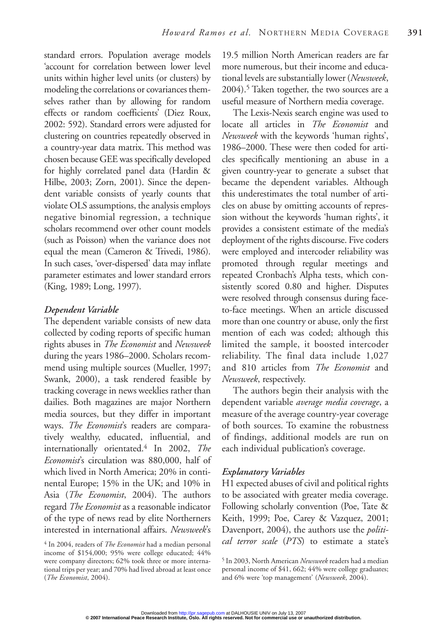standard errors. Population average models 'account for correlation between lower level units within higher level units (or clusters) by modeling the correlations or covariances themselves rather than by allowing for random effects or random coefficients' (Diez Roux, 2002: 592). Standard errors were adjusted for clustering on countries repeatedly observed in a country-year data matrix. This method was chosen because GEE was specifically developed for highly correlated panel data (Hardin & Hilbe, 2003; Zorn, 2001). Since the dependent variable consists of yearly counts that violate OLS assumptions, the analysis employs negative binomial regression, a technique scholars recommend over other count models (such as Poisson) when the variance does not equal the mean (Cameron & Trivedi, 1986). In such cases, 'over-dispersed' data may inflate parameter estimates and lower standard errors (King, 1989; Long, 1997).

#### *Dependent Variable*

The dependent variable consists of new data collected by coding reports of specific human rights abuses in *The Economist* and *Newsweek* during the years 1986–2000. Scholars recommend using multiple sources (Mueller, 1997; Swank, 2000), a task rendered feasible by tracking coverage in news weeklies rather than dailies. Both magazines are major Northern media sources, but they differ in important ways. *The Economist*'s readers are comparatively wealthy, educated, influential, and internationally orientated.4 In 2002, *The Economist*'s circulation was 880,000, half of which lived in North America; 20% in continental Europe; 15% in the UK; and 10% in Asia (*The Economist*, 2004). The authors regard *The Economist* as a reasonable indicator of the type of news read by elite Northerners interested in international affairs. *Newsweek*'s

19.5 million North American readers are far more numerous, but their income and educational levels are substantially lower (*Newsweek*,  $2004$ .<sup>5</sup> Taken together, the two sources are a useful measure of Northern media coverage.

The Lexis-Nexis search engine was used to locate all articles in *The Economist* and *Newsweek* with the keywords 'human rights', 1986–2000. These were then coded for articles specifically mentioning an abuse in a given country-year to generate a subset that became the dependent variables. Although this underestimates the total number of articles on abuse by omitting accounts of repression without the keywords 'human rights', it provides a consistent estimate of the media's deployment of the rights discourse. Five coders were employed and intercoder reliability was promoted through regular meetings and repeated Cronbach's Alpha tests, which consistently scored 0.80 and higher. Disputes were resolved through consensus during faceto-face meetings. When an article discussed more than one country or abuse, only the first mention of each was coded; although this limited the sample, it boosted intercoder reliability. The final data include 1,027 and 810 articles from *The Economist* and *Newsweek*, respectively.

The authors begin their analysis with the dependent variable *average media coverage*, a measure of the average country-year coverage of both sources. To examine the robustness of findings, additional models are run on each individual publication's coverage.

#### *Explanatory Variables*

H1 expected abuses of civil and political rights to be associated with greater media coverage. Following scholarly convention (Poe, Tate & Keith, 1999; Poe, Carey & Vazquez, 2001; Davenport, 2004), the authors use the *politi-*<sup>4</sup> In 2004, readers of *The Economist* had a median personal *cal terror scale* (*PTS*) to estimate a state's

income of \$154,000; 95% were college educated; 44% were company directors; 62% took three or more international trips per year; and 70% had lived abroad at least once (*The Economist*, 2004).

<sup>5</sup> In 2003, North American *Newsweek* readers had a median personal income of \$41, 662; 44% were college graduates; and 6% were 'top management' (*Newsweek*, 2004).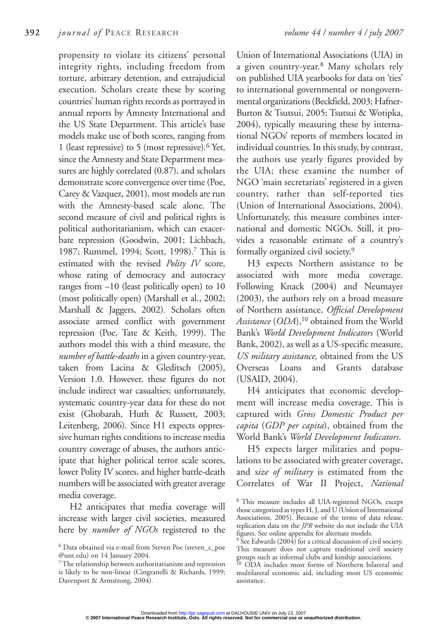propensity to violate its citizens' personal integrity rights, including freedom from torture, arbitrary detention, and extrajudicial execution. Scholars create these by scoring countries' human rights records as portrayed in annual reports by Amnesty International and the US State Department. This article's base models make use of both scores, ranging from 1 (least repressive) to 5 (most repressive). $6$  Yet, since the Amnesty and State Department measures are highly correlated (0.87), and scholars demonstrate score convergence over time (Poe, Carey & Vazquez, 2001), most models are run with the Amnesty-based scale alone. The second measure of civil and political rights is political authoritarianism, which can exacerbate repression (Goodwin, 2001; Lichbach, 1987; Rummel, 1994; Scott, 1998).7 This is estimated with the revised *Polity IV* score, whose rating of democracy and autocracy ranges from –10 (least politically open) to 10 (most politically open) (Marshall et al., 2002; Marshall & Jaggers, 2002). Scholars often associate armed conflict with government repression (Poe, Tate & Keith, 1999). The authors model this with a third measure, the *number of battle-deaths* in a given country-year, taken from Lacina & Gleditsch (2005), Version 1.0. However, these figures do not include indirect war casualties; unfortunately, systematic country-year data for these do not exist (Ghobarah, Huth & Russett, 2003; Leitenberg, 2006). Since H1 expects oppressive human rights conditions to increase media country coverage of abuses, the authors anticipate that higher political terror scale scores, lower Polity IV scores, and higher battle-death numbers will be associated with greater average media coverage.

H2 anticipates that media coverage will increase with larger civil societies, measured here by *number of NGOs* registered to the

Union of International Associations (UIA) in a given country-year.8 Many scholars rely on published UIA yearbooks for data on 'ties' to international governmental or nongovernmental organizations (Beckfield, 2003; Hafner-Burton & Tsutsui, 2005; Tsutsui & Wotipka, 2004), typically measuring these by international NGOs' reports of members located in individual countries. In this study, by contrast, the authors use yearly figures provided by the UIA; these examine the number of NGO 'main secretariats' registered in a given country, rather than self-reported ties (Union of International Associations, 2004). Unfortunately, this measure combines international and domestic NGOs. Still, it provides a reasonable estimate of a country's formally organized civil society.9

H3 expects Northern assistance to be associated with more media coverage. Following Knack (2004) and Neumayer (2003), the authors rely on a broad measure of Northern assistance, *Official Development Assistance* (*ODA*),10 obtained from the World Bank's *World Development Indicators* (World Bank, 2002), as well as a US-specific measure, *US military assistance,* obtained from the US Overseas Loans and Grants database (USAID, 2004).

H4 anticipates that economic development will increase media coverage. This is captured with *Gross Domestic Product per capita* (*GDP per capita*), obtained from the World Bank's *World Development Indicators*.

H5 expects larger militaries and populations to be associated with greater coverage, and s*ize of military* is estimated from the Correlates of War II Project, *National*

<sup>6</sup> Data obtained via e-mail from Steven Poe (steven\_c\_poe @unt.edu) on 14 January 2004.

<sup>7</sup>The relationship between authoritarianism and repression is likely to be non-linear (Cingranelli & Richards, 1999; Davenport & Armstrong, 2004).

<sup>8</sup> This measure includes all UIA-registered NGOs, except those categorized as types H, J, and U (Union of International Associations, 2005). Because of the terms of data release, replication data on the *JPR* website do not include the UIA figures. See online appendix for alternate models.

<sup>&</sup>lt;sup>9</sup> See Edwards (2004) for a critical discussion of civil society. This measure does not capture traditional civil society groups such as informal clubs and kinship associations.<br><sup>10</sup> ODA includes and clubs and constant of the constant of the constant of the constant of the constant of the constant of the constant of the constant of the consta

ODA includes most forms of Northern bilateral and multilateral economic aid, including most US economic assistance.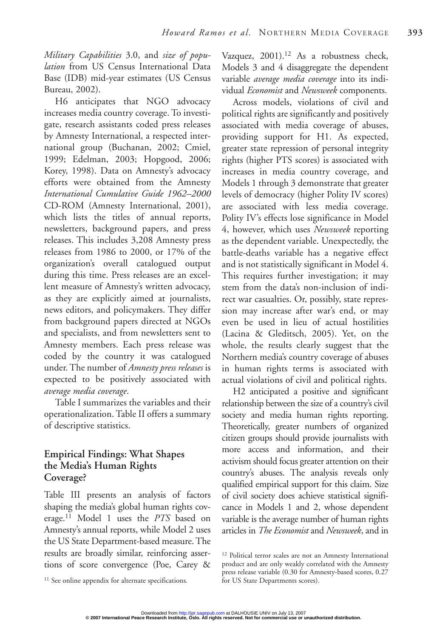*Military Capabilities* 3.0, and *size of population* from US Census International Data Base (IDB) mid-year estimates (US Census Bureau, 2002).

H6 anticipates that NGO advocacy increases media country coverage. To investigate, research assistants coded press releases by Amnesty International, a respected international group (Buchanan, 2002; Cmiel, 1999; Edelman, 2003; Hopgood, 2006; Korey, 1998). Data on Amnesty's advocacy efforts were obtained from the Amnesty *International Cumulative Guide 1962–2000* CD-ROM (Amnesty International, 2001), which lists the titles of annual reports, newsletters, background papers, and press releases. This includes 3,208 Amnesty press releases from 1986 to 2000, or 17% of the organization's overall catalogued output during this time. Press releases are an excellent measure of Amnesty's written advocacy, as they are explicitly aimed at journalists, news editors, and policymakers. They differ from background papers directed at NGOs and specialists, and from newsletters sent to Amnesty members. Each press release was coded by the country it was catalogued under. The number of *Amnesty press releases* is expected to be positively associated with *average media coverage*.

Table I summarizes the variables and their operationalization. Table II offers a summary of descriptive statistics.

#### **Empirical Findings: What Shapes the Media's Human Rights Coverage?**

Table III presents an analysis of factors shaping the media's global human rights coverage.11 Model 1 uses the *PTS* based on Amnesty's annual reports, while Model 2 uses the US State Department-based measure. The results are broadly similar, reinforcing assertions of score convergence (Poe, Carey &

Vazquez, 2001).<sup>12</sup> As a robustness check, Models 3 and 4 disaggregate the dependent variable *average media coverage* into its individual *Economist* and *Newsweek* components.

Across models, violations of civil and political rights are significantly and positively associated with media coverage of abuses, providing support for H1. As expected, greater state repression of personal integrity rights (higher PTS scores) is associated with increases in media country coverage, and Models 1 through 3 demonstrate that greater levels of democracy (higher Polity IV scores) are associated with less media coverage. Polity IV's effects lose significance in Model 4, however, which uses *Newsweek* reporting as the dependent variable. Unexpectedly, the battle-deaths variable has a negative effect and is not statistically significant in Model 4. This requires further investigation; it may stem from the data's non-inclusion of indirect war casualties. Or, possibly, state repression may increase after war's end, or may even be used in lieu of actual hostilities (Lacina & Gleditsch, 2005). Yet, on the whole, the results clearly suggest that the Northern media's country coverage of abuses in human rights terms is associated with actual violations of civil and political rights.

H2 anticipated a positive and significant relationship between the size of a country's civil society and media human rights reporting. Theoretically, greater numbers of organized citizen groups should provide journalists with more access and information, and their activism should focus greater attention on their country's abuses. The analysis reveals only qualified empirical support for this claim. Size of civil society does achieve statistical significance in Models 1 and 2, whose dependent variable is the average number of human rights articles in *The Economist* and *Newsweek*, and in

<sup>12</sup> Political terror scales are not an Amnesty International product and are only weakly correlated with the Amnesty press release variable (0.30 for Amnesty-based scores, 0.27

<sup>&</sup>lt;sup>11</sup> See online appendix for alternate specifications. For US State Departments scores).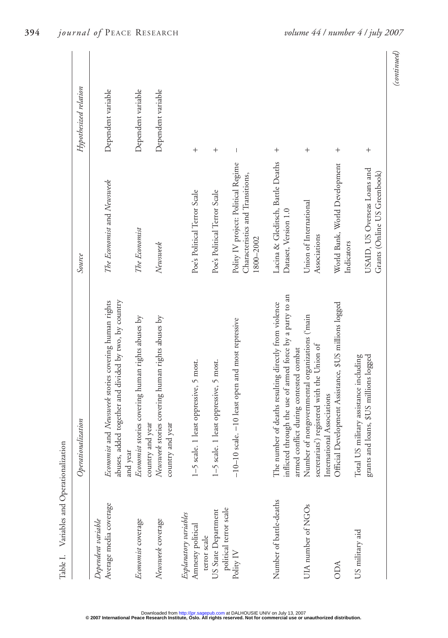| Table I. Variables and Operationalization                  |                                                                                                                                                              |                                                                                      |                       |
|------------------------------------------------------------|--------------------------------------------------------------------------------------------------------------------------------------------------------------|--------------------------------------------------------------------------------------|-----------------------|
|                                                            | Operationalization                                                                                                                                           | Source                                                                               | Hypothesized relation |
| Average media coverage<br>Dependent variable               | abuses, added together and divided by two, by country<br>Economist and Newsweek stories covering human rights                                                | The Economist and Newswerk                                                           | Dependent variable    |
| Economist coverage                                         | Economist stories covering human rights abuses by<br>and year                                                                                                | The Economist                                                                        | Dependent variable    |
| Newsweek coverage                                          | Newsweek stories covering human rights abuses by<br>country and year<br>country and year                                                                     | Newsweek                                                                             | Dependent variable    |
| Explanatory variables<br>Amnesty political<br>terror scale | 1-5 scale. 1 least oppressive, 5 most.                                                                                                                       | Poe's Political Terror Scale                                                         | $^{+}$                |
| political terror scale<br>US State Department              | 1-5 scale. 1 least oppressive, 5 most.                                                                                                                       | Poe's Political Terror Scale                                                         | $^{+}$                |
| Polity $\mathrm{IV}$                                       | -10-10 scale. -10 least open and most repressive                                                                                                             | Polity IV project: Political Regime<br>Characteristics and Transitions,<br>1800-2002 | $\mid$                |
| Number of battle-deaths                                    | inflicted through the use of armed force by a party to an<br>The number of deaths resulting directly from violence<br>armed conflict during contested combat | Lacina & Gleditsch, Battle Deaths<br>Dataset, Version 1.0                            | $^{+}$                |
| UIA number of NGOs                                         | Number of nongovernmental organizations ('main<br>secretariats') registered with the Union of<br>International Associations                                  | Union of International<br>Associations                                               | $^{+}$                |
| <b>ODA</b>                                                 | Official Development Assistance, \$US millions logged                                                                                                        | World Bank, World Development<br>Indicators                                          | $^{+}$                |
| US military aid                                            | Total US military assistance including<br>grants and loans, \$US millions logged                                                                             | USAID, US Overseas Loans and<br>Grants (Online US Greenbook)                         | $^{+}$                |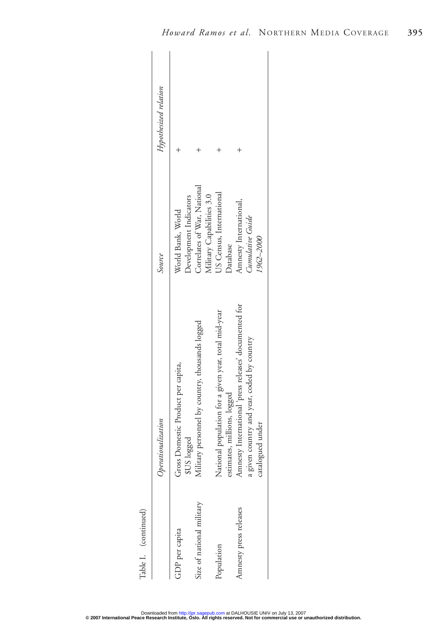| Table I. (continued)      |                                                                                     |                                                          |                       |
|---------------------------|-------------------------------------------------------------------------------------|----------------------------------------------------------|-----------------------|
|                           | erationalization                                                                    | Source                                                   | Hypothesized relation |
| GDP per capita            | Gross Domestic Product per capita,<br>\$US logged                                   | Development Indicators<br>World Bank, World              |                       |
| Size of national military | litary personnel by country, thousands logged<br><b>SE</b>                          | Correlates of War, National<br>Military Capabilities 3.0 |                       |
| Population                | National population for a given year, total mid-year<br>estimates, millions, logged | US Census, International<br>Database                     |                       |
| Amnesty press releases    | Amnesty International press releases' documented for                                | Amnesty International,                                   |                       |
|                           | a given country and year, coded by country<br>catalogued under                      | Cumulative Guide<br>1962-2000                            |                       |
|                           |                                                                                     |                                                          |                       |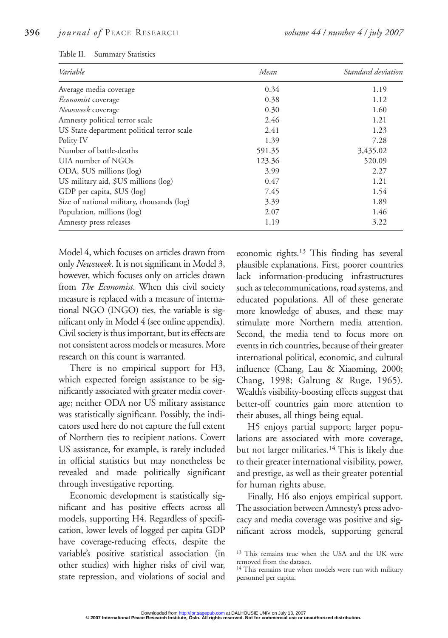| Variable                                   | Mean   | Standard deviation |
|--------------------------------------------|--------|--------------------|
| Average media coverage                     | 0.34   | 1.19               |
| <i>Economist</i> coverage                  | 0.38   | 1.12               |
| Newsweek coverage                          | 0.30   | 1.60               |
| Amnesty political terror scale             | 2.46   | 1.21               |
| US State department political terror scale | 2.41   | 1.23               |
| Polity IV                                  | 1.39   | 7.28               |
| Number of battle-deaths                    | 591.35 | 3,435.02           |
| UIA number of NGOs                         | 123.36 | 520.09             |
| ODA, \$US millions (log)                   | 3.99   | 2.27               |
| US military aid, \$US millions (log)       | 0.47   | 1.21               |
| GDP per capita, \$US (log)                 | 7.45   | 1.54               |
| Size of national military, thousands (log) | 3.39   | 1.89               |
| Population, millions (log)                 | 2.07   | 1.46               |
| Amnesty press releases                     | 1.19   | 3.22               |

Model 4, which focuses on articles drawn from only *Newsweek*. It is not significant in Model 3, however, which focuses only on articles drawn from *The Economist*. When this civil society measure is replaced with a measure of international NGO (INGO) ties, the variable is significant only in Model 4 (see online appendix). Civil society is thus important, but its effects are not consistent across models or measures. More research on this count is warranted.

There is no empirical support for H3, which expected foreign assistance to be significantly associated with greater media coverage; neither ODA nor US military assistance was statistically significant. Possibly, the indicators used here do not capture the full extent of Northern ties to recipient nations. Covert US assistance, for example, is rarely included in official statistics but may nonetheless be revealed and made politically significant through investigative reporting.

Economic development is statistically significant and has positive effects across all models, supporting H4. Regardless of specification, lower levels of logged per capita GDP have coverage-reducing effects, despite the variable's positive statistical association (in other studies) with higher risks of civil war, state repression, and violations of social and

economic rights. $13$  This finding has several plausible explanations. First, poorer countries lack information-producing infrastructures such as telecommunications, road systems, and educated populations. All of these generate more knowledge of abuses, and these may stimulate more Northern media attention. Second, the media tend to focus more on events in rich countries, because of their greater international political, economic, and cultural influence (Chang, Lau & Xiaoming, 2000; Chang, 1998; Galtung & Ruge, 1965). Wealth's visibility-boosting effects suggest that better-off countries gain more attention to their abuses, all things being equal.

H5 enjoys partial support; larger populations are associated with more coverage, but not larger militaries.14 This is likely due to their greater international visibility, power, and prestige, as well as their greater potential for human rights abuse.

Finally, H6 also enjoys empirical support. The association between Amnesty's press advocacy and media coverage was positive and significant across models, supporting general

<sup>13</sup> This remains true when the USA and the UK were removed from the dataset.

<sup>&</sup>lt;sup>14</sup> This remains true when models were run with military personnel per capita.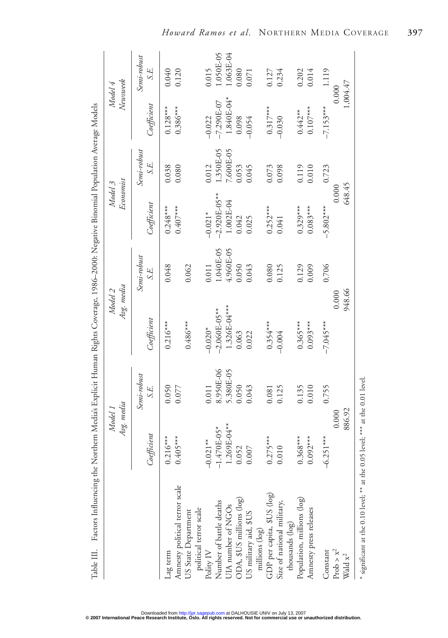| Factors Influencing the Northern Media's Explicit Human Rights Coverage, 1986–2000: Negative Binomial Population Average Models<br>Table III. |                          |                     |                       |                     |                          |                     |                          |                     |
|-----------------------------------------------------------------------------------------------------------------------------------------------|--------------------------|---------------------|-----------------------|---------------------|--------------------------|---------------------|--------------------------|---------------------|
|                                                                                                                                               | Avg. media<br>Model 1    |                     | Avg. media<br>Model 2 |                     | Economist<br>Model 3     |                     | Newsweek<br>Model 4      |                     |
|                                                                                                                                               | Coefficient              | Semi-robust<br>S.E. | $C$ oefficient        | Semi-robust<br>S.E. | Coefficient              | Semi-robust<br>S.E. | $C$ oefficient           | Semi-robust<br>S.E. |
| Amnesty political terror scale<br>Lag term                                                                                                    | $0.405***$<br>$0.216***$ | 0.050<br>0.077      | $0.216***$            | 0.048               | $0.407***$<br>$0.248***$ | 0.038<br>0.080      | $0.386***$<br>$0.128***$ | 0.040<br>0.120      |
| political terror scale<br>US State Department                                                                                                 |                          |                     | $0.486***$            | 0.062               |                          |                     |                          |                     |
| Polity IV                                                                                                                                     | $-0.021**$               | 0.011               | $-0.020*$             | 0.011               | $-0.021*$                | 0.012               | $-0.022$                 | 0.015               |
| Number of battle deaths                                                                                                                       | $-1.470E-05*$            | 8.950E-06           | $-2.060E-05***$       | 1.040E-05           | $-2.920E-05***$          | 350E-05             | $-7.290E - 07$           | 1.050E-05           |
|                                                                                                                                               | 1.269E-04**              | 5.380E-05           | 1.326E-04***          | 4.960E-05           | 1.002E-04                | $.600E-05$          | 1.840E-04*               | $0.063E-04$         |
|                                                                                                                                               | 0.052                    | 0.050               | 0.063                 | 0.050               | 0.042                    | 0.053               | 0.098                    | 0.080               |
| UIA number of NGOs<br>ODA, \$US millions (log)<br>US military aid, \$US<br>millions (log)                                                     | 0.007                    | 0.043               | 0.022                 | 0.043               | 0.025                    | 0.045               | $-0.054$                 | 0.071               |
|                                                                                                                                               | $0.275***$               | 0.081               | $0.354***$            | 0.080               | $0.252***$               | 0.073               | $0.317***$               | 0.127               |
| GDP per capita, \$US (log)<br>Size of national military,<br>thousands (log)                                                                   | 0.010                    | 0.125               | $-0.004$              | 0.125               | 0.041                    | 0.098               | $-0.030$                 | 0.234               |
| Population, millions (log)                                                                                                                    | $0.368***$               | 0.135               | $0.365***$            | 0.129               | $0.329***$               | 0.119               | $0.442**$                | 0.202               |
| Amnesty press releases                                                                                                                        | $0.092***$               | 0.010               | $0.093***$            | 0.009               | $0.083***$               | 0.010               | $0.107***$               | 0.014               |
| Constant                                                                                                                                      | $-6.251***$              | 0.755               | $-7.045***$           | 0.706               | $-5.802***$              | 0.723               | $-7.153***$              | 1.119               |
| Prob $> x^2$                                                                                                                                  | 0.000                    |                     | 0.000                 |                     | 0.000                    |                     | 0.000                    |                     |
| Wald $\mathbf{x}^2$                                                                                                                           | 886.92                   |                     | 948.66                |                     | 648.45                   |                     | 1,004.47                 |                     |
| * significant at the 0.10 level; ** at the 0.05 level; *** at the 0.01 level.                                                                 |                          |                     |                       |                     |                          |                     |                          |                     |

Factors Influencing the Northern Media's Explicit Human Rights Coverage, 1986–2000: Negative Binomial Population Average Models Table III. Factors Influencing the Northern Media's Explicit Human Rights Coverage, 1986–2000: Negative Binomial Population Average Models

Downloaded fro[m http://jpr.sagepub.com](http://jpr.sagepub.com) at DALHOUSIE UNIV on July 13, 2007<br>© 2**007 International Peace Research Institute, Oslo. All rights reserved. Not for commercial use or unauthorized distribution.**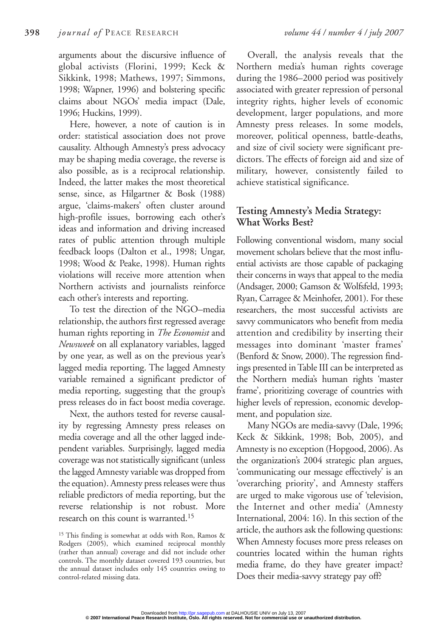arguments about the discursive influence of global activists (Florini, 1999; Keck & Sikkink, 1998; Mathews, 1997; Simmons, 1998; Wapner, 1996) and bolstering specific claims about NGOs' media impact (Dale, 1996; Huckins, 1999).

Here, however, a note of caution is in order: statistical association does not prove causality. Although Amnesty's press advocacy may be shaping media coverage, the reverse is also possible, as is a reciprocal relationship. Indeed, the latter makes the most theoretical sense, since, as Hilgartner & Bosk (1988) argue, 'claims-makers' often cluster around high-profile issues, borrowing each other's ideas and information and driving increased rates of public attention through multiple feedback loops (Dalton et al., 1998; Ungar, 1998; Wood & Peake, 1998). Human rights violations will receive more attention when Northern activists and journalists reinforce each other's interests and reporting.

To test the direction of the NGO–media relationship, the authors first regressed average human rights reporting in *The Economist* and *Newsweek* on all explanatory variables, lagged by one year, as well as on the previous year's lagged media reporting. The lagged Amnesty variable remained a significant predictor of media reporting, suggesting that the group's press releases do in fact boost media coverage.

Next, the authors tested for reverse causality by regressing Amnesty press releases on media coverage and all the other lagged independent variables. Surprisingly, lagged media coverage was not statistically significant (unless the lagged Amnesty variable was dropped from the equation). Amnesty press releases were thus reliable predictors of media reporting, but the reverse relationship is not robust. More research on this count is warranted.15

<sup>15</sup> This finding is somewhat at odds with Ron, Ramos & Rodgers (2005), which examined reciprocal monthly (rather than annual) coverage and did not include other controls. The monthly dataset covered 193 countries, but the annual dataset includes only 145 countries owing to control-related missing data.

Overall, the analysis reveals that the Northern media's human rights coverage during the 1986–2000 period was positively associated with greater repression of personal integrity rights, higher levels of economic development, larger populations, and more Amnesty press releases. In some models, moreover, political openness, battle-deaths, and size of civil society were significant predictors. The effects of foreign aid and size of military, however, consistently failed to achieve statistical significance.

### **Testing Amnesty's Media Strategy: What Works Best?**

Following conventional wisdom, many social movement scholars believe that the most influential activists are those capable of packaging their concerns in ways that appeal to the media (Andsager, 2000; Gamson & Wolfsfeld, 1993; Ryan, Carragee & Meinhofer, 2001). For these researchers, the most successful activists are savvy communicators who benefit from media attention and credibility by inserting their messages into dominant 'master frames' (Benford & Snow, 2000). The regression findings presented in Table III can be interpreted as the Northern media's human rights 'master frame', prioritizing coverage of countries with higher levels of repression, economic development, and population size.

Many NGOs are media-savvy (Dale, 1996; Keck & Sikkink, 1998; Bob, 2005), and Amnesty is no exception (Hopgood, 2006). As the organization's 2004 strategic plan argues, 'communicating our message effectively' is an 'overarching priority', and Amnesty staffers are urged to make vigorous use of 'television, the Internet and other media' (Amnesty International, 2004: 16). In this section of the article, the authors ask the following questions: When Amnesty focuses more press releases on countries located within the human rights media frame, do they have greater impact? Does their media-savvy strategy pay off?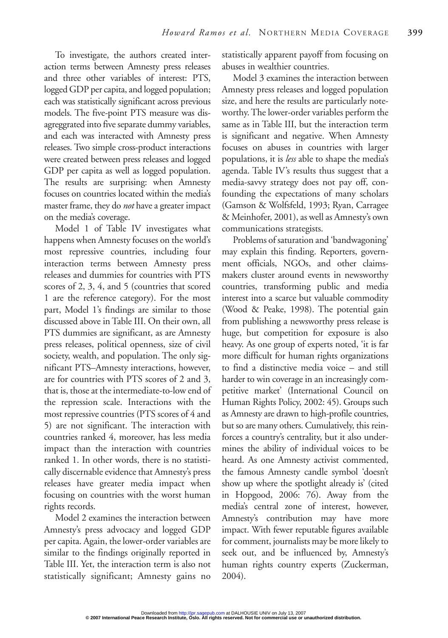To investigate, the authors created interaction terms between Amnesty press releases and three other variables of interest: PTS, logged GDP per capita, and logged population; each was statistically significant across previous models. The five-point PTS measure was disagreggrated into five separate dummy variables, and each was interacted with Amnesty press releases. Two simple cross-product interactions were created between press releases and logged GDP per capita as well as logged population. The results are surprising: when Amnesty focuses on countries located within the media's master frame, they do *not* have a greater impact on the media's coverage.

Model 1 of Table IV investigates what happens when Amnesty focuses on the world's most repressive countries, including four interaction terms between Amnesty press releases and dummies for countries with PTS scores of 2, 3, 4, and 5 (countries that scored 1 are the reference category). For the most part, Model 1's findings are similar to those discussed above in Table III. On their own, all PTS dummies are significant, as are Amnesty press releases, political openness, size of civil society, wealth, and population. The only significant PTS–Amnesty interactions, however, are for countries with PTS scores of 2 and 3, that is, those at the intermediate-to-low end of the repression scale. Interactions with the most repressive countries (PTS scores of 4 and 5) are not significant. The interaction with countries ranked 4, moreover, has less media impact than the interaction with countries ranked 1. In other words, there is no statistically discernable evidence that Amnesty's press releases have greater media impact when focusing on countries with the worst human rights records.

Model 2 examines the interaction between Amnesty's press advocacy and logged GDP per capita. Again, the lower-order variables are similar to the findings originally reported in Table III. Yet, the interaction term is also not statistically significant; Amnesty gains no statistically apparent payoff from focusing on abuses in wealthier countries.

Model 3 examines the interaction between Amnesty press releases and logged population size, and here the results are particularly noteworthy. The lower-order variables perform the same as in Table III, but the interaction term is significant and negative. When Amnesty focuses on abuses in countries with larger populations, it is *less* able to shape the media's agenda. Table IV's results thus suggest that a media-savvy strategy does not pay off, confounding the expectations of many scholars (Gamson & Wolfsfeld, 1993; Ryan, Carragee & Meinhofer, 2001), as well as Amnesty's own communications strategists.

Problems of saturation and 'bandwagoning' may explain this finding. Reporters, government officials, NGOs, and other claimsmakers cluster around events in newsworthy countries, transforming public and media interest into a scarce but valuable commodity (Wood & Peake, 1998). The potential gain from publishing a newsworthy press release is huge, but competition for exposure is also heavy. As one group of experts noted, 'it is far more difficult for human rights organizations to find a distinctive media voice – and still harder to win coverage in an increasingly competitive market' (International Council on Human Rights Policy, 2002: 45). Groups such as Amnesty are drawn to high-profile countries, but so are many others. Cumulatively, this reinforces a country's centrality, but it also undermines the ability of individual voices to be heard. As one Amnesty activist commented, the famous Amnesty candle symbol 'doesn't show up where the spotlight already is' (cited in Hopgood, 2006: 76). Away from the media's central zone of interest, however, Amnesty's contribution may have more impact. With fewer reputable figures available for comment, journalists may be more likely to seek out, and be influenced by, Amnesty's human rights country experts (Zuckerman, 2004).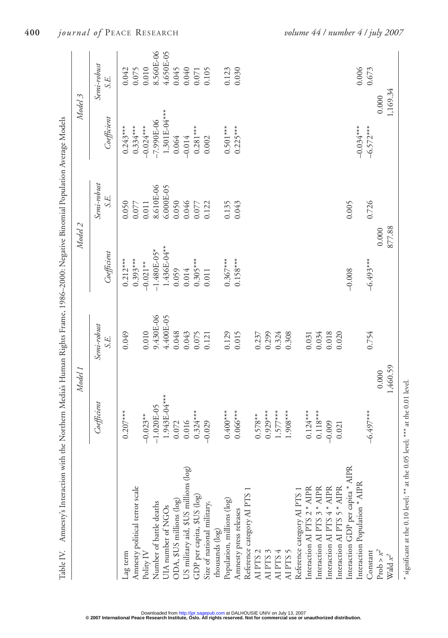| $0.501***$<br>0.064<br>Semi-robust<br>8.610E-06<br>6.000E-05<br>S.E.<br>0.046<br>0.050<br>0.011<br>0.050<br>0.135<br>0.043<br>0.005<br>0.122<br>0.077<br>0.077<br>1.436E-04**<br>$-1.480E-05*$<br>Coefficient<br>$0.393***$<br>$0.367***$<br>$0.158***$<br>$0.212***$<br>$0.305***$<br>$-0.021**$<br>0.014<br>0.059<br>$-0.008$<br>0.011<br>9.430E-06<br>4.400E-05<br>Semi-robust<br>0.010<br>0.049<br>0.048<br>0.043<br>0.129<br>0.015<br>0.299<br>0.324<br>0.308<br>0.034<br>0.018<br>0.075<br>0.020<br>0.237<br>0.121<br>0.031<br>S.E.<br>1.943E-04***<br>Coefficient<br>$-1.020E-05$<br>$0.207***$<br>$0.324***$<br>$0.118***$<br>$0.400***$<br>$0.066***$<br>$0.929***$<br>$1.577***$<br>$1.908***$<br>$0.124***$<br>$-0.023**$<br>$0.578**$<br>0.016<br>$-0.029$<br>0.072<br>$-0.009$<br>0.021<br>US military aid, \$US millions (log)<br>Interaction GDP per capita * AIPR<br>Interaction Population * AIPR<br>Amnesty political terror scale<br>Interaction AI PTS 2 * AIPR<br>Interaction AI PTS 4 * AIPR<br>Interaction AI PTS 5 * AIPR<br>Interaction AI PTS 3 * AIPR<br>Reference category AI PTS 1<br>Reference category AI PTS 1<br>GDP per capita, \$US (log)<br>Population, millions (log)<br>ODA, \$US millions (log)<br>Number of battle deaths<br>Size of national military,<br>UIA number of NGOs<br>Amnesty press releases<br>thousands (log)<br>AI PTS 2<br>AI PTS 5<br>Polity IV<br>AI PTS 3<br>AI PTS 4<br>Lag term | Model 2              | Model 3                            |
|---------------------------------------------------------------------------------------------------------------------------------------------------------------------------------------------------------------------------------------------------------------------------------------------------------------------------------------------------------------------------------------------------------------------------------------------------------------------------------------------------------------------------------------------------------------------------------------------------------------------------------------------------------------------------------------------------------------------------------------------------------------------------------------------------------------------------------------------------------------------------------------------------------------------------------------------------------------------------------------------------------------------------------------------------------------------------------------------------------------------------------------------------------------------------------------------------------------------------------------------------------------------------------------------------------------------------------------------------------------------------------------------------------------------------------------------|----------------------|------------------------------------|
|                                                                                                                                                                                                                                                                                                                                                                                                                                                                                                                                                                                                                                                                                                                                                                                                                                                                                                                                                                                                                                                                                                                                                                                                                                                                                                                                                                                                                                             |                      | Semi-robust<br>S.E.<br>Coefficient |
|                                                                                                                                                                                                                                                                                                                                                                                                                                                                                                                                                                                                                                                                                                                                                                                                                                                                                                                                                                                                                                                                                                                                                                                                                                                                                                                                                                                                                                             | $0.243***$           | 0.042                              |
|                                                                                                                                                                                                                                                                                                                                                                                                                                                                                                                                                                                                                                                                                                                                                                                                                                                                                                                                                                                                                                                                                                                                                                                                                                                                                                                                                                                                                                             | $0.334***$           | 0.075                              |
|                                                                                                                                                                                                                                                                                                                                                                                                                                                                                                                                                                                                                                                                                                                                                                                                                                                                                                                                                                                                                                                                                                                                                                                                                                                                                                                                                                                                                                             | $-0.024***$          | 0.010                              |
|                                                                                                                                                                                                                                                                                                                                                                                                                                                                                                                                                                                                                                                                                                                                                                                                                                                                                                                                                                                                                                                                                                                                                                                                                                                                                                                                                                                                                                             |                      | 8.560E-06<br>$-7.990E-06$          |
|                                                                                                                                                                                                                                                                                                                                                                                                                                                                                                                                                                                                                                                                                                                                                                                                                                                                                                                                                                                                                                                                                                                                                                                                                                                                                                                                                                                                                                             |                      | 4.650E-05<br>$1.301E-04***$        |
|                                                                                                                                                                                                                                                                                                                                                                                                                                                                                                                                                                                                                                                                                                                                                                                                                                                                                                                                                                                                                                                                                                                                                                                                                                                                                                                                                                                                                                             |                      | 0.045                              |
|                                                                                                                                                                                                                                                                                                                                                                                                                                                                                                                                                                                                                                                                                                                                                                                                                                                                                                                                                                                                                                                                                                                                                                                                                                                                                                                                                                                                                                             | $-0.014$             | 0.040                              |
|                                                                                                                                                                                                                                                                                                                                                                                                                                                                                                                                                                                                                                                                                                                                                                                                                                                                                                                                                                                                                                                                                                                                                                                                                                                                                                                                                                                                                                             | $0.281***$           | 0.071                              |
|                                                                                                                                                                                                                                                                                                                                                                                                                                                                                                                                                                                                                                                                                                                                                                                                                                                                                                                                                                                                                                                                                                                                                                                                                                                                                                                                                                                                                                             | 0.002                | 0.105                              |
|                                                                                                                                                                                                                                                                                                                                                                                                                                                                                                                                                                                                                                                                                                                                                                                                                                                                                                                                                                                                                                                                                                                                                                                                                                                                                                                                                                                                                                             |                      |                                    |
|                                                                                                                                                                                                                                                                                                                                                                                                                                                                                                                                                                                                                                                                                                                                                                                                                                                                                                                                                                                                                                                                                                                                                                                                                                                                                                                                                                                                                                             |                      | 0.123                              |
|                                                                                                                                                                                                                                                                                                                                                                                                                                                                                                                                                                                                                                                                                                                                                                                                                                                                                                                                                                                                                                                                                                                                                                                                                                                                                                                                                                                                                                             | $0.225***$           | 0.030                              |
|                                                                                                                                                                                                                                                                                                                                                                                                                                                                                                                                                                                                                                                                                                                                                                                                                                                                                                                                                                                                                                                                                                                                                                                                                                                                                                                                                                                                                                             |                      |                                    |
|                                                                                                                                                                                                                                                                                                                                                                                                                                                                                                                                                                                                                                                                                                                                                                                                                                                                                                                                                                                                                                                                                                                                                                                                                                                                                                                                                                                                                                             |                      |                                    |
|                                                                                                                                                                                                                                                                                                                                                                                                                                                                                                                                                                                                                                                                                                                                                                                                                                                                                                                                                                                                                                                                                                                                                                                                                                                                                                                                                                                                                                             |                      |                                    |
|                                                                                                                                                                                                                                                                                                                                                                                                                                                                                                                                                                                                                                                                                                                                                                                                                                                                                                                                                                                                                                                                                                                                                                                                                                                                                                                                                                                                                                             |                      |                                    |
|                                                                                                                                                                                                                                                                                                                                                                                                                                                                                                                                                                                                                                                                                                                                                                                                                                                                                                                                                                                                                                                                                                                                                                                                                                                                                                                                                                                                                                             |                      |                                    |
|                                                                                                                                                                                                                                                                                                                                                                                                                                                                                                                                                                                                                                                                                                                                                                                                                                                                                                                                                                                                                                                                                                                                                                                                                                                                                                                                                                                                                                             |                      |                                    |
|                                                                                                                                                                                                                                                                                                                                                                                                                                                                                                                                                                                                                                                                                                                                                                                                                                                                                                                                                                                                                                                                                                                                                                                                                                                                                                                                                                                                                                             |                      |                                    |
|                                                                                                                                                                                                                                                                                                                                                                                                                                                                                                                                                                                                                                                                                                                                                                                                                                                                                                                                                                                                                                                                                                                                                                                                                                                                                                                                                                                                                                             |                      |                                    |
|                                                                                                                                                                                                                                                                                                                                                                                                                                                                                                                                                                                                                                                                                                                                                                                                                                                                                                                                                                                                                                                                                                                                                                                                                                                                                                                                                                                                                                             |                      |                                    |
|                                                                                                                                                                                                                                                                                                                                                                                                                                                                                                                                                                                                                                                                                                                                                                                                                                                                                                                                                                                                                                                                                                                                                                                                                                                                                                                                                                                                                                             |                      |                                    |
|                                                                                                                                                                                                                                                                                                                                                                                                                                                                                                                                                                                                                                                                                                                                                                                                                                                                                                                                                                                                                                                                                                                                                                                                                                                                                                                                                                                                                                             |                      |                                    |
|                                                                                                                                                                                                                                                                                                                                                                                                                                                                                                                                                                                                                                                                                                                                                                                                                                                                                                                                                                                                                                                                                                                                                                                                                                                                                                                                                                                                                                             | $-0.034***$          | 0.006                              |
| $-6.493***$<br>0.754<br>$-6.497***$<br>Constant                                                                                                                                                                                                                                                                                                                                                                                                                                                                                                                                                                                                                                                                                                                                                                                                                                                                                                                                                                                                                                                                                                                                                                                                                                                                                                                                                                                             | $-6.572***$<br>0.726 | 0.673                              |
| 0.000<br>0.000<br>Prob $> x^2$                                                                                                                                                                                                                                                                                                                                                                                                                                                                                                                                                                                                                                                                                                                                                                                                                                                                                                                                                                                                                                                                                                                                                                                                                                                                                                                                                                                                              |                      | 0.000                              |
| 877.88<br>1,460.59<br>Wald $x^2$                                                                                                                                                                                                                                                                                                                                                                                                                                                                                                                                                                                                                                                                                                                                                                                                                                                                                                                                                                                                                                                                                                                                                                                                                                                                                                                                                                                                            |                      | 1,169.34                           |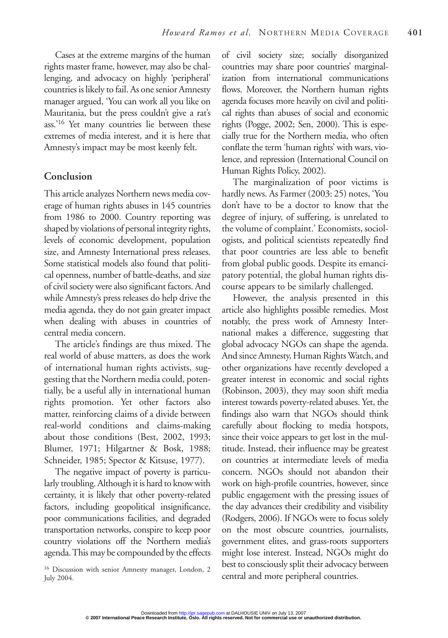Cases at the extreme margins of the human rights master frame, however, may also be challenging, and advocacy on highly 'peripheral' countries is likely to fail. As one senior Amnesty manager argued, 'You can work all you like on Mauritania, but the press couldn't give a rat's ass.'16 Yet many countries lie between these extremes of media interest, and it is here that Amnesty's impact may be most keenly felt.

#### **Conclusion**

This article analyzes Northern news media coverage of human rights abuses in 145 countries from 1986 to 2000. Country reporting was shaped by violations of personal integrity rights, levels of economic development, population size, and Amnesty International press releases. Some statistical models also found that political openness, number of battle-deaths, and size of civil society were also significant factors. And while Amnesty's press releases do help drive the media agenda, they do not gain greater impact when dealing with abuses in countries of central media concern.

The article's findings are thus mixed. The real world of abuse matters, as does the work of international human rights activists, suggesting that the Northern media could, potentially, be a useful ally in international human rights promotion. Yet other factors also matter, reinforcing claims of a divide between real-world conditions and claims-making about those conditions (Best, 2002, 1993; Blumer, 1971; Hilgartner & Bosk, 1988; Schneider, 1985; Spector & Kitsuse, 1977).

The negative impact of poverty is particularly troubling. Although it is hard to know with certainty, it is likely that other poverty-related factors, including geopolitical insignificance, poor communications facilities, and degraded transportation networks, conspire to keep poor country violations off the Northern media's agenda. This may be compounded by the effects of civil society size; socially disorganized countries may share poor countries' marginalization from international communications flows. Moreover, the Northern human rights agenda focuses more heavily on civil and political rights than abuses of social and economic rights (Pogge, 2002; Sen, 2000). This is especially true for the Northern media, who often conflate the term 'human rights' with wars, violence, and repression (International Council on Human Rights Policy, 2002).

The marginalization of poor victims is hardly news. As Farmer (2003: 25) notes, 'You don't have to be a doctor to know that the degree of injury, of suffering, is unrelated to the volume of complaint.' Economists, sociologists, and political scientists repeatedly find that poor countries are less able to benefit from global public goods. Despite its emancipatory potential, the global human rights discourse appears to be similarly challenged.

However, the analysis presented in this article also highlights possible remedies. Most notably, the press work of Amnesty International makes a difference, suggesting that global advocacy NGOs can shape the agenda. And since Amnesty, Human Rights Watch, and other organizations have recently developed a greater interest in economic and social rights (Robinson, 2003), they may soon shift media interest towards poverty-related abuses. Yet, the findings also warn that NGOs should think carefully about flocking to media hotspots, since their voice appears to get lost in the multitude. Instead, their influence may be greatest on countries at intermediate levels of media concern. NGOs should not abandon their work on high-profile countries, however, since public engagement with the pressing issues of the day advances their credibility and visibility (Rodgers, 2006). If NGOs were to focus solely on the most obscure countries, journalists, government elites, and grass-roots supporters might lose interest. Instead, NGOs might do best to consciously split their advocacy between central and more peripheral countries.

<sup>16</sup> Discussion with senior Amnesty manager, London, 2 July 2004.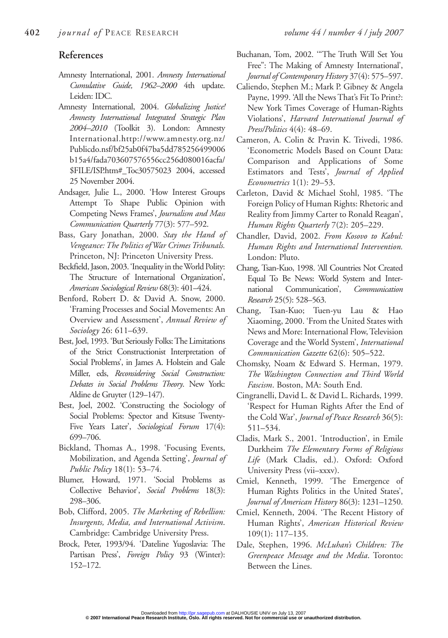#### **References**

- Amnesty International, 2001. *Amnesty International Cumulative Guide, 1962–2000* 4th update. Leiden: IDC.
- Amnesty International, 2004. *Globalizing Justice! Amnesty International Integrated Strategic Plan 2004–2010* (Toolkit 3). London: Amnesty International.http://www.amnesty.org.nz/ Publicdo.nsf/bf25ab0f47ba5dd785256499006 b15a4/fada703607576556cc256d080016acfa/ \$FILE/ISP.htm#\_Toc30575023 2004, accessed 25 November 2004.
- Andsager, Julie L., 2000. 'How Interest Groups Attempt To Shape Public Opinion with Competing News Frames', *Journalism and Mass Communication Quarterly* 77(3): 577–592.
- Bass, Gary Jonathan, 2000. *Stay the Hand of Vengeance: The Politics of War Crimes Tribunals.* Princeton, NJ: Princeton University Press.
- Beckfield, Jason, 2003. 'Inequality in the World Polity: The Structure of International Organization', *American Sociological Review* 68(3): 401–424.
- Benford, Robert D. & David A. Snow, 2000. 'Framing Processes and Social Movements: An Overview and Assessment', *Annual Review of Sociology* 26: 611–639.
- Best, Joel, 1993. 'But Seriously Folks: The Limitations of the Strict Constructionist Interpretation of Social Problems', in James A. Holstein and Gale Miller, eds, *Reconsidering Social Construction: Debates in Social Problems Theory*. New York: Aldine de Gruyter (129–147).
- Best, Joel, 2002. 'Constructing the Sociology of Social Problems: Spector and Kitsuse Twenty-Five Years Later', *Sociological Forum* 17(4): 699–706.
- Bickland, Thomas A., 1998. 'Focusing Events, Mobilization, and Agenda Setting', *Journal of Public Policy* 18(1): 53–74.
- Blumer, Howard, 1971. 'Social Problems as Collective Behavior', *Social Problems* 18(3): 298–306.
- Bob, Clifford, 2005. *The Marketing of Rebellion: Insurgents, Media, and International Activism*. Cambridge: Cambridge University Press.
- Brock, Peter, 1993/94. 'Dateline Yugoslavia: The Partisan Press', *Foreign Policy* 93 (Winter): 152–172.
- Buchanan, Tom, 2002. '"The Truth Will Set You Free": The Making of Amnesty International', *Journal of Contemporary History* 37(4): 575–597.
- Caliendo, Stephen M.; Mark P. Gibney & Angela Payne, 1999. 'All the News That's Fit To Print?: New York Times Coverage of Human-Rights Violations', *Harvard International Journal of Press/Politics* 4(4): 48–69.
- Cameron, A. Colin & Pravin K. Trivedi, 1986. 'Econometric Models Based on Count Data: Comparison and Applications of Some Estimators and Tests', *Journal of Applied Econometrics* 1(1): 29–53.
- Carleton, David & Michael Stohl, 1985. 'The Foreign Policy of Human Rights: Rhetoric and Reality from Jimmy Carter to Ronald Reagan', *Human Rights Quarterly* 7(2): 205–229.
- Chandler, David, 2002. *From Kosovo to Kabul: Human Rights and International Intervention.* London: Pluto.
- Chang, Tsan-Kuo, 1998. 'All Countries Not Created Equal To Be News: World System and International Communication', *Communication Research* 25(5): 528–563.
- Chang, Tsan-Kuo; Tuen-yu Lau & Hao Xiaoming, 2000. 'From the United States with News and More: International Flow, Television Coverage and the World System', *International Communication Gazette* 62(6): 505–522.
- Chomsky, Noam & Edward S. Herman, 1979. *The Washington Connection and Third World Fascism*. Boston, MA: South End.
- Cingranelli, David L. & David L. Richards, 1999. 'Respect for Human Rights After the End of the Cold War', *Journal of Peace Research* 36(5): 511–534.
- Cladis, Mark S., 2001. 'Introduction', in Emile Durkheim *The Elementary Forms of Religious Life* (Mark Cladis, ed.). Oxford: Oxford University Press (vii–xxxv).
- Cmiel, Kenneth, 1999. 'The Emergence of Human Rights Politics in the United States', *Journal of American History* 86(3): 1231–1250.
- Cmiel, Kenneth, 2004. 'The Recent History of Human Rights', *American Historical Review* 109(1): 117–135.
- Dale, Stephen, 1996. *McLuhan's Children: The Greenpeace Message and the Media*. Toronto: Between the Lines.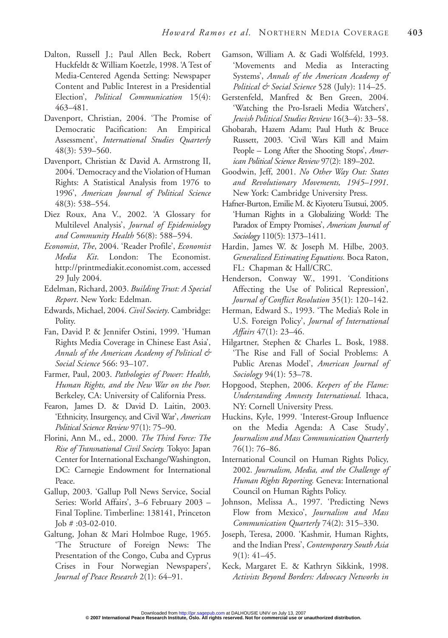- Dalton, Russell J.; Paul Allen Beck, Robert Huckfeldt & William Koetzle, 1998. 'A Test of Media-Centered Agenda Setting: Newspaper Content and Public Interest in a Presidential Election', *Political Communication* 15(4): 463–481.
- Davenport, Christian, 2004. 'The Promise of Democratic Pacification: An Empirical Assessment', *International Studies Quarterly* 48(3): 539–560.
- Davenport, Christian & David A. Armstrong II, 2004. 'Democracy and the Violation of Human Rights: A Statistical Analysis from 1976 to 1996', *American Journal of Political Science* 48(3): 538–554.
- Diez Roux, Ana V., 2002. 'A Glossary for Multilevel Analysis', *Journal of Epidemiology and Community Health* 56(8): 588–594.
- *Economist*, *The*, 2004. 'Reader Profile', *Economist Media Kit*. London: The Economist. http://printmediakit.economist.com, accessed 29 July 2004.
- Edelman, Richard, 2003. *Building Trust: A Special Report*. New York: Edelman.
- Edwards, Michael, 2004. *Civil Society*. Cambridge: Polity.
- Fan, David P. & Jennifer Ostini, 1999. 'Human Rights Media Coverage in Chinese East Asia', *Annals of the American Academy of Political & Social Science* 566: 93–107.
- Farmer, Paul, 2003. *Pathologies of Power: Health, Human Rights, and the New War on the Poor.* Berkeley, CA: University of California Press.
- Fearon, James D. & David D. Laitin, 2003. 'Ethnicity, Insurgency, and Civil War', *American Political Science Review* 97(1): 75–90.
- Florini, Ann M., ed., 2000. *The Third Force: The Rise of Transnational Civil Society.* Tokyo: Japan Center for International Exchange/Washington, DC: Carnegie Endowment for International Peace.
- Gallup, 2003. 'Gallup Poll News Service, Social Series: World Affairs', 3–6 February 2003 – Final Topline. Timberline: 138141, Princeton Job # :03-02-010.
- Galtung, Johan & Mari Holmboe Ruge, 1965. 'The Structure of Foreign News: The Presentation of the Congo, Cuba and Cyprus Crises in Four Norwegian Newspapers', *Journal of Peace Research* 2(1): 64–91.
- Gamson, William A. & Gadi Wolfsfeld, 1993. 'Movements and Media as Interacting Systems', *Annals of the American Academy of Political & Social Science* 528 (July): 114–25.
- Gerstenfeld, Manfred & Ben Green, 2004. 'Watching the Pro-Israeli Media Watchers', *Jewish Political Studies Review* 16(3–4): 33–58.
- Ghobarah, Hazem Adam; Paul Huth & Bruce Russett, 2003. 'Civil Wars Kill and Maim People – Long After the Shooting Stops', *American Political Science Review* 97(2): 189–202.
- Goodwin, Jeff, 2001. *No Other Way Out: States and Revolutionary Movements, 1945–1991*. New York: Cambridge University Press.
- Hafner-Burton, Emilie M. & Kiyoteru Tsutsui, 2005. 'Human Rights in a Globalizing World: The Paradox of Empty Promises', *American Journal of Sociology* 110(5): 1373–1411.
- Hardin, James W. & Joseph M. Hilbe, 2003. *Generalized Estimating Equations.* Boca Raton, FL: Chapman & Hall/CRC.
- Henderson, Conway W., 1991. 'Conditions Affecting the Use of Political Repression', *Journal of Conflict Resolution* 35(1): 120–142.
- Herman, Edward S., 1993. 'The Media's Role in U.S. Foreign Policy', *Journal of International Affairs* 47(1): 23–46.
- Hilgartner, Stephen & Charles L. Bosk, 1988. 'The Rise and Fall of Social Problems: A Public Arenas Model', *American Journal of Sociology* 94(1): 53–78.
- Hopgood, Stephen, 2006. *Keepers of the Flame: Understanding Amnesty International.* Ithaca, NY: Cornell University Press.
- Huckins, Kyle, 1999. 'Interest-Group Influence on the Media Agenda: A Case Study', *Journalism and Mass Communication Quarterly* 76(1): 76–86.
- International Council on Human Rights Policy, 2002. *Journalism, Media, and the Challenge of Human Rights Reporting.* Geneva: International Council on Human Rights Policy.
- Johnson, Melissa A., 1997. 'Predicting News Flow from Mexico', *Journalism and Mass Communication Quarterly* 74(2): 315–330.
- Joseph, Teresa, 2000. 'Kashmir, Human Rights, and the Indian Press', *Contemporary South Asia* 9(1): 41–45.
- Keck, Margaret E. & Kathryn Sikkink, 1998. *Activists Beyond Borders: Advocacy Networks in*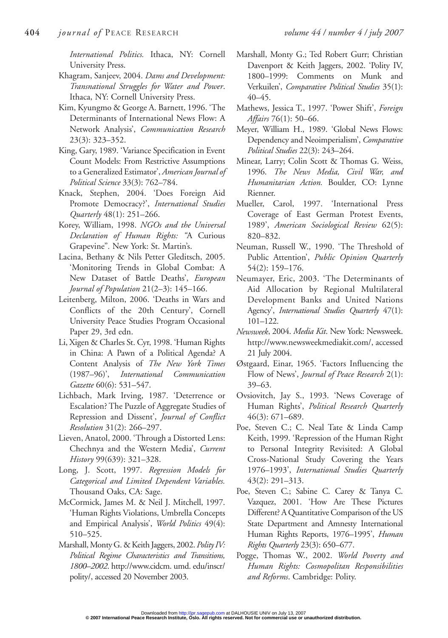*International Politics.* Ithaca, NY: Cornell University Press.

- Khagram, Sanjeev, 2004. *Dams and Development: Transnational Struggles for Water and Power*. Ithaca, NY: Cornell University Press.
- Kim, Kyungmo & George A. Barnett, 1996. 'The Determinants of International News Flow: A Network Analysis', *Communication Research* 23(3): 323–352.
- King, Gary, 1989. 'Variance Specification in Event Count Models: From Restrictive Assumptions to a Generalized Estimator', *American Journal of Political Science* 33(3): 762–784.
- Knack, Stephen, 2004. 'Does Foreign Aid Promote Democracy?', *International Studies Quarterly* 48(1): 251–266.
- Korey, William, 1998. *NGOs and the Universal Declaration of Human Rights: "*A Curious Grapevine"*.* New York: St. Martin's.
- Lacina, Bethany & Nils Petter Gleditsch, 2005. 'Monitoring Trends in Global Combat: A New Dataset of Battle Deaths', *European Journal of Population* 21(2–3): 145–166.
- Leitenberg, Milton, 2006. 'Deaths in Wars and Conflicts of the 20th Century', Cornell University Peace Studies Program Occasional Paper 29, 3rd edn.
- Li, Xigen & Charles St. Cyr, 1998. 'Human Rights in China: A Pawn of a Political Agenda? A Content Analysis of *The New York Times* (1987–96)', *International Communication Gazette* 60(6): 531–547.
- Lichbach, Mark Irving, 1987. 'Deterrence or Escalation? The Puzzle of Aggregate Studies of Repression and Dissent', *Journal of Conflict Resolution* 31(2): 266–297.
- Lieven, Anatol, 2000. 'Through a Distorted Lens: Chechnya and the Western Media', *Current History* 99(639): 321–328.
- Long, J. Scott, 1997. *Regression Models for Categorical and Limited Dependent Variables.* Thousand Oaks, CA: Sage.
- McCormick, James M. & Neil J. Mitchell, 1997. 'Human Rights Violations, Umbrella Concepts and Empirical Analysis', *World Politics* 49(4): 510–525.
- Marshall, Monty G. & Keith Jaggers, 2002. *Polity IV: Political Regime Characteristics and Transitions, 1800–2002*. http://www.cidcm. umd. edu/inscr/ polity/, accessed 20 November 2003.
- Marshall, Monty G.; Ted Robert Gurr; Christian Davenport & Keith Jaggers, 2002. 'Polity IV, 1800–1999: Comments on Munk and Verkuilen', *Comparative Political Studies* 35(1): 40–45.
- Mathews, Jessica T., 1997. 'Power Shift', *Foreign Affairs* 76(1): 50–66.
- Meyer, William H., 1989. 'Global News Flows: Dependency and Neoimperialism', *Comparative Political Studies* 22(3): 243–264.
- Minear, Larry; Colin Scott & Thomas G. Weiss, 1996. *The News Media, Civil War, and Humanitarian Action.* Boulder, CO: Lynne Rienner.
- Mueller, Carol, 1997. 'International Press Coverage of East German Protest Events, 1989', *American Sociological Review* 62(5): 820–832.
- Neuman, Russell W., 1990. 'The Threshold of Public Attention', *Public Opinion Quarterly* 54(2): 159–176.
- Neumayer, Eric, 2003. 'The Determinants of Aid Allocation by Regional Multilateral Development Banks and United Nations Agency', *International Studies Quarterly* 47(1): 101–122.
- *Newsweek*, 2004. *Media Kit*. New York: Newsweek. http://www.newsweekmediakit.com/, accessed 21 July 2004.
- Østgaard, Einar, 1965. 'Factors Influencing the Flow of News', *Journal of Peace Research* 2(1): 39–63.
- Ovsiovitch, Jay S., 1993. 'News Coverage of Human Rights', *Political Research Quarterly* 46(3): 671–689.
- Poe, Steven C.; C. Neal Tate & Linda Camp Keith, 1999. 'Repression of the Human Right to Personal Integrity Revisited: A Global Cross-National Study Covering the Years 1976–1993', *International Studies Quarterly* 43(2): 291–313.
- Poe, Steven C.; Sabine C. Carey & Tanya C. Vazquez, 2001. 'How Are These Pictures Different? A Quantitative Comparison of the US State Department and Amnesty International Human Rights Reports, 1976–1995', *Human Rights Quarterly* 23(3): 650–677.
- Pogge, Thomas W., 2002. *World Poverty and Human Rights: Cosmopolitan Responsibilities and Reforms*. Cambridge: Polity.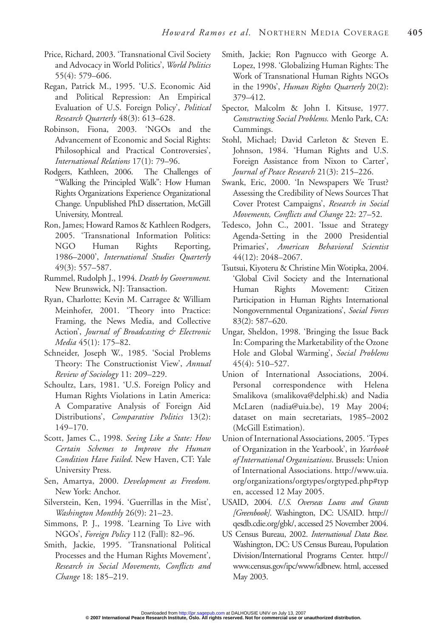- Price, Richard, 2003. 'Transnational Civil Society and Advocacy in World Politics', *World Politics* 55(4): 579–606.
- Regan, Patrick M., 1995. 'U.S. Economic Aid and Political Repression: An Empirical Evaluation of U.S. Foreign Policy', *Political Research Quarterly* 48(3): 613–628.
- Robinson, Fiona, 2003. 'NGOs and the Advancement of Economic and Social Rights: Philosophical and Practical Controversies', *International Relations* 17(1): 79–96.
- Rodgers, Kathleen, 2006. The Challenges of "Walking the Principled Walk": How Human Rights Organizations Experience Organizational Change*.* Unpublished PhD dissertation, McGill University, Montreal.
- Ron, James; Howard Ramos & Kathleen Rodgers, 2005. 'Transnational Information Politics: NGO Human Rights Reporting, 1986–2000', *International Studies Quarterly* 49(3): 557–587.
- Rummel, Rudolph J., 1994. *Death by Government.* New Brunswick, NJ: Transaction.
- Ryan, Charlotte; Kevin M. Carragee & William Meinhofer, 2001. 'Theory into Practice: Framing, the News Media, and Collective Action', *Journal of Broadcasting & Electronic Media* 45(1): 175–82.
- Schneider, Joseph W., 1985. 'Social Problems Theory: The Constructionist View', *Annual Review of Sociology* 11: 209–229.
- Schoultz, Lars, 1981. 'U.S. Foreign Policy and Human Rights Violations in Latin America: A Comparative Analysis of Foreign Aid Distributions', *Comparative Politics* 13(2): 149–170.
- Scott, James C., 1998. *Seeing Like a State: How Certain Schemes to Improve the Human Condition Have Failed*. New Haven, CT: Yale University Press.
- Sen, Amartya, 2000. *Development as Freedom.* New York: Anchor.
- Silverstein, Ken, 1994. 'Guerrillas in the Mist', *Washington Monthly* 26(9): 21–23.
- Simmons, P. J., 1998. 'Learning To Live with NGOs', *Foreign Policy* 112 (Fall): 82–96.
- Smith, Jackie, 1995. 'Transnational Political Processes and the Human Rights Movement', *Research in Social Movements, Conflicts and Change* 18: 185–219.
- Smith, Jackie; Ron Pagnucco with George A. Lopez, 1998. 'Globalizing Human Rights: The Work of Transnational Human Rights NGOs in the 1990s', *Human Rights Quarterly* 20(2): 379–412.
- Spector, Malcolm & John I. Kitsuse, 1977. *Constructing Social Problems.* Menlo Park, CA: Cummings.
- Stohl, Michael; David Carleton & Steven E. Johnson, 1984. 'Human Rights and U.S. Foreign Assistance from Nixon to Carter', *Journal of Peace Research* 21(3): 215–226.
- Swank, Eric, 2000. 'In Newspapers We Trust? Assessing the Credibility of News Sources That Cover Protest Campaigns', *Research in Social Movements, Conflicts and Change* 22: 27–52.
- Tedesco, John C., 2001. 'Issue and Strategy Agenda-Setting in the 2000 Presidential Primaries', *American Behavioral Scientist* 44(12): 2048–2067.
- Tsutsui, Kiyoteru & Christine Min Wotipka, 2004. 'Global Civil Society and the International Human Rights Movement: Citizen Participation in Human Rights International Nongovernmental Organizations', *Social Forces* 83(2): 587–620.
- Ungar, Sheldon, 1998. 'Bringing the Issue Back In: Comparing the Marketability of the Ozone Hole and Global Warming', *Social Problems* 45(4): 510–527.
- Union of International Associations, 2004. Personal correspondence with Helena Smalikova (smalikova@delphi.sk) and Nadia McLaren (nadia@uia.be), 19 May 2004; dataset on main secretariats, 1985–2002 (McGill Estimation).
- Union of International Associations, 2005. 'Types of Organization in the Yearbook', in *Yearbook of International Organizations*. Brussels: Union of International Associations. http://www.uia. org/organizations/orgtypes/orgtyped.php#typ en, accessed 12 May 2005.
- USAID, 2004. *U.S. Overseas Loans and Grants [Greenbook]*. Washington, DC: USAID. http:// qesdb.cdie.org/gbk/, accessed 25 November 2004.
- US Census Bureau, 2002. *International Data Base.* Washington, DC: US Census Bureau, Population Division/International Programs Center. http:// www.census.gov/ipc/www/idbnew. html, accessed May 2003.